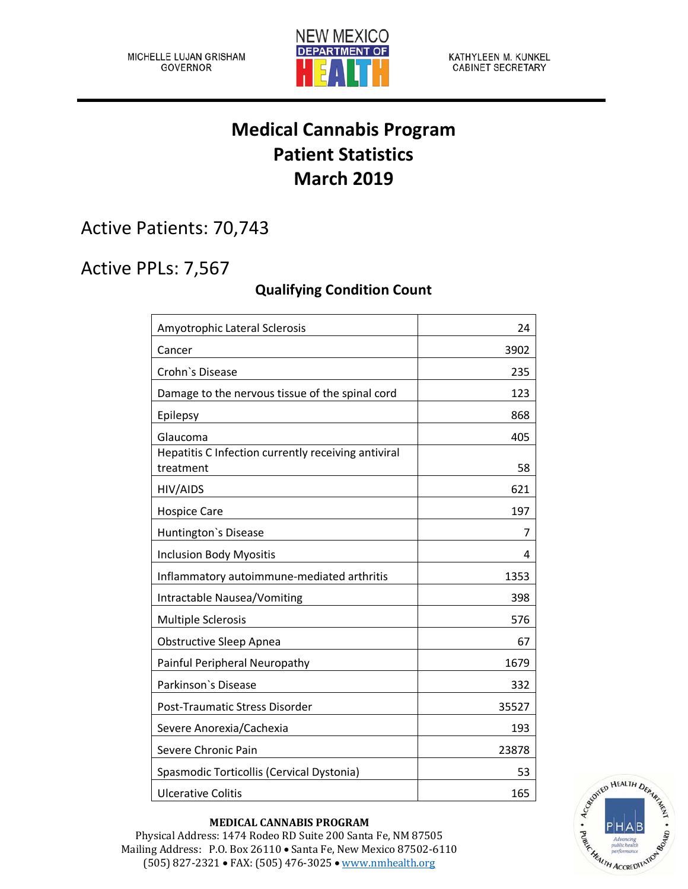

# **Medical Cannabis Program Patient Statistics March 2019**

Active Patients: 70,743

## Active PPLs: 7,567

### **Qualifying Condition Count**

| Amyotrophic Lateral Sclerosis                                    | 24    |
|------------------------------------------------------------------|-------|
| Cancer                                                           | 3902  |
| Crohn's Disease                                                  | 235   |
| Damage to the nervous tissue of the spinal cord                  | 123   |
| Epilepsy                                                         | 868   |
| Glaucoma                                                         | 405   |
| Hepatitis C Infection currently receiving antiviral<br>treatment | 58    |
| HIV/AIDS                                                         | 621   |
| <b>Hospice Care</b>                                              | 197   |
| Huntington's Disease                                             | 7     |
| <b>Inclusion Body Myositis</b>                                   | 4     |
| Inflammatory autoimmune-mediated arthritis                       | 1353  |
| Intractable Nausea/Vomiting                                      | 398   |
| <b>Multiple Sclerosis</b>                                        | 576   |
| <b>Obstructive Sleep Apnea</b>                                   | 67    |
| Painful Peripheral Neuropathy                                    | 1679  |
| Parkinson's Disease                                              | 332   |
| Post-Traumatic Stress Disorder                                   | 35527 |
| Severe Anorexia/Cachexia                                         | 193   |
| Severe Chronic Pain                                              | 23878 |
| Spasmodic Torticollis (Cervical Dystonia)                        | 53    |
| <b>Ulcerative Colitis</b>                                        | 165   |



#### **MEDICAL CANNABIS PROGRAM**

Physical Address: 1474 Rodeo RD Suite 200 Santa Fe, NM 87505 Mailing Address: P.O. Box 26110 • Santa Fe, New Mexico 87502-6110 (505) 827-2321 • FAX: (505) 476-3025 • [www.nmhealth.org](http://www.nmhealth.org/)